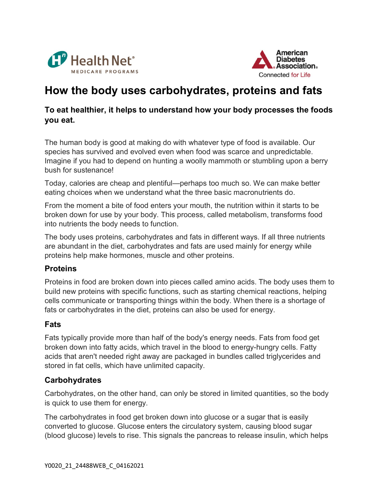



# How the body uses carbohydrates, proteins and fats

#### To eat healthier, it helps to understand how your body processes the foods you eat.

The human body is good at making do with whatever type of food is available. Our species has survived and evolved even when food was scarce and unpredictable. Imagine if you had to depend on hunting a woolly mammoth or stumbling upon a berry bush for sustenance!

Today, calories are cheap and plentiful—perhaps too much so. We can make better eating choices when we understand what the three basic macronutrients do.

From the moment a bite of food enters your mouth, the nutrition within it starts to be broken down for use by your body. This process, called metabolism, transforms food into nutrients the body needs to function.

The body uses proteins, carbohydrates and fats in different ways. If all three nutrients are abundant in the diet, carbohydrates and fats are used mainly for energy while proteins help make hormones, muscle and other proteins.

#### **Proteins**

Proteins in food are broken down into pieces called amino acids. The body uses them to build new proteins with specific functions, such as starting chemical reactions, helping cells communicate or transporting things within the body. When there is a shortage of fats or carbohydrates in the diet, proteins can also be used for energy.

## Fats

Fats typically provide more than half of the body's energy needs. Fats from food get broken down into fatty acids, which travel in the blood to energy-hungry cells. Fatty acids that aren't needed right away are packaged in bundles called triglycerides and stored in fat cells, which have unlimited capacity.

## **Carbohydrates**

Carbohydrates, on the other hand, can only be stored in limited quantities, so the body is quick to use them for energy.

The carbohydrates in food get broken down into glucose or a sugar that is easily converted to glucose. Glucose enters the circulatory system, causing blood sugar (blood glucose) levels to rise. This signals the pancreas to release insulin, which helps